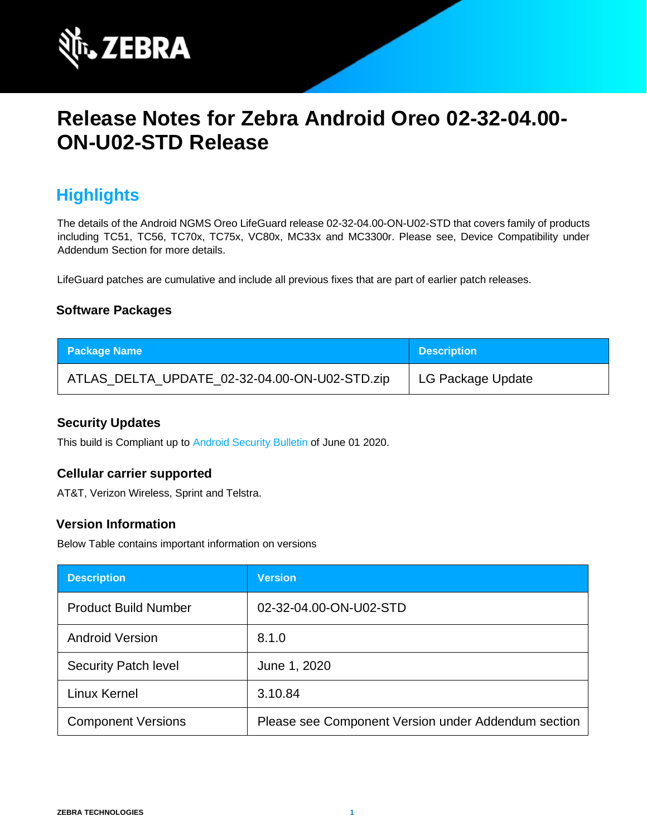

# **Release Notes for Zebra Android Oreo 02-32-04.00- ON-U02-STD Release**

# **Highlights**

The details of the Android NGMS Oreo LifeGuard release 02-32-04.00-ON-U02-STD that covers family of products including TC51, TC56, TC70x, TC75x, VC80x, MC33x and MC3300r. Please see, Device Compatibility under Addendum Section for more details.

LifeGuard patches are cumulative and include all previous fixes that are part of earlier patch releases.

#### **Software Packages**

| <b>Package Name</b>                           | Description       |
|-----------------------------------------------|-------------------|
| ATLAS_DELTA_UPDATE_02-32-04.00-ON-U02-STD.zip | LG Package Update |

#### **Security Updates**

This build is Compliant up to [Android Security Bulletin](https://source.android.com/security/bulletin/) of June 01 2020.

#### **Cellular carrier supported**

AT&T, Verizon Wireless, Sprint and Telstra.

### **Version Information**

Below Table contains important information on versions

| <b>Description</b>          | <b>Version</b>                                      |
|-----------------------------|-----------------------------------------------------|
| <b>Product Build Number</b> | 02-32-04.00-ON-U02-STD                              |
| <b>Android Version</b>      | 8.1.0                                               |
| <b>Security Patch level</b> | June 1, 2020                                        |
| Linux Kernel                | 3.10.84                                             |
| <b>Component Versions</b>   | Please see Component Version under Addendum section |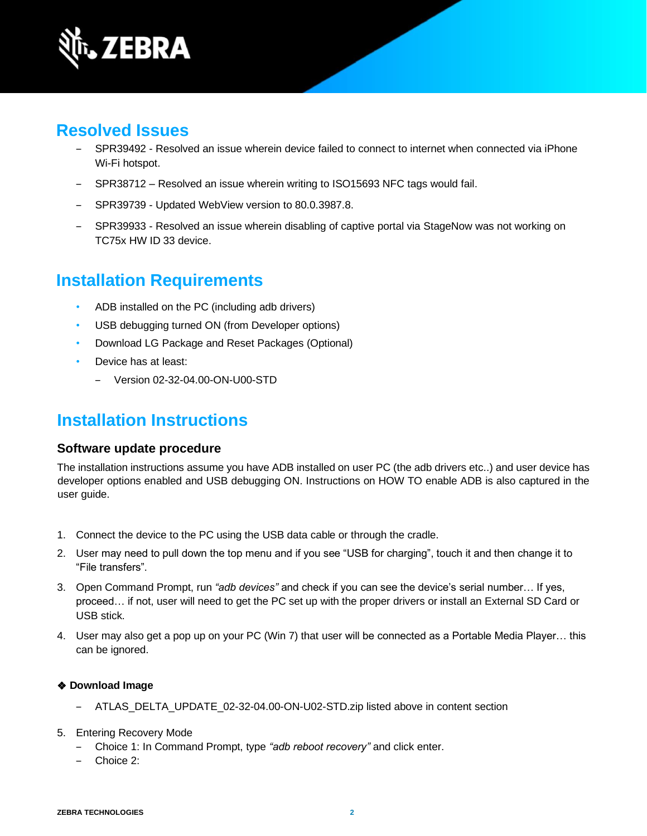

# **Resolved Issues**

- SPR39492 Resolved an issue wherein device failed to connect to internet when connected via iPhone Wi-Fi hotspot.
- ‒ SPR38712 Resolved an issue wherein writing to ISO15693 NFC tags would fail.
- ‒ SPR39739 Updated WebView version to 80.0.3987.8.
- ‒ SPR39933 Resolved an issue wherein disabling of captive portal via StageNow was not working on TC75x HW ID 33 device.

# **Installation Requirements**

- ADB installed on the PC (including adb drivers)
- USB debugging turned ON (from Developer options)
- Download LG Package and Reset Packages (Optional)
- Device has at least:
	- ‒ Version 02-32-04.00-ON-U00-STD

# **Installation Instructions**

#### **Software update procedure**

The installation instructions assume you have ADB installed on user PC (the adb drivers etc..) and user device has developer options enabled and USB debugging ON. Instructions on HOW TO enable ADB is also captured in the user guide.

- 1. Connect the device to the PC using the USB data cable or through the cradle.
- 2. User may need to pull down the top menu and if you see "USB for charging", touch it and then change it to "File transfers".
- 3. Open Command Prompt, run *"adb devices"* and check if you can see the device's serial number… If yes, proceed… if not, user will need to get the PC set up with the proper drivers or install an External SD Card or USB stick.
- 4. User may also get a pop up on your PC (Win 7) that user will be connected as a Portable Media Player… this can be ignored.

#### ❖ **Download Image**

- ‒ ATLAS\_DELTA\_UPDATE\_02-32-04.00-ON-U02-STD.zip listed above in content section
- 5. Entering Recovery Mode
	- ‒ Choice 1: In Command Prompt, type *"adb reboot recovery"* and click enter.
	- ‒ Choice 2: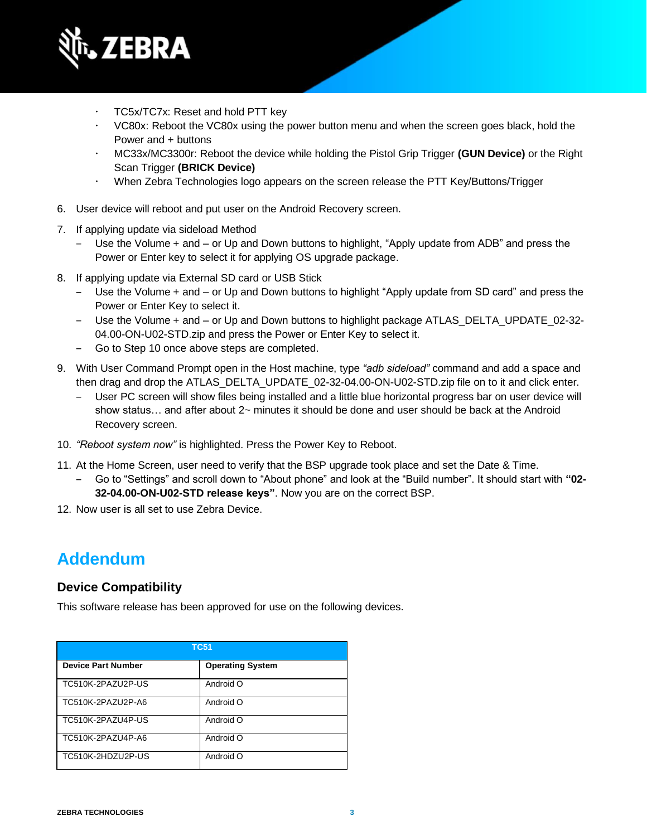

- TC5x/TC7x: Reset and hold PTT key
- VC80x: Reboot the VC80x using the power button menu and when the screen goes black, hold the Power and + buttons
- MC33x/MC3300r: Reboot the device while holding the Pistol Grip Trigger **(GUN Device)** or the Right Scan Trigger **(BRICK Device)**
- When Zebra Technologies logo appears on the screen release the PTT Key/Buttons/Trigger
- 6. User device will reboot and put user on the Android Recovery screen.
- 7. If applying update via sideload Method
	- Use the Volume + and or Up and Down buttons to highlight, "Apply update from ADB" and press the Power or Enter key to select it for applying OS upgrade package.
- 8. If applying update via External SD card or USB Stick
	- ‒ Use the Volume + and or Up and Down buttons to highlight "Apply update from SD card" and press the Power or Enter Key to select it.
	- Use the Volume + and or Up and Down buttons to highlight package ATLAS DELTA\_UPDATE\_02-32-04.00-ON-U02-STD.zip and press the Power or Enter Key to select it.
	- ‒ Go to Step 10 once above steps are completed.
- 9. With User Command Prompt open in the Host machine, type *"adb sideload"* command and add a space and then drag and drop the ATLAS\_DELTA\_UPDATE\_02-32-04.00-ON-U02-STD.zip file on to it and click enter.
	- ‒ User PC screen will show files being installed and a little blue horizontal progress bar on user device will show status… and after about 2~ minutes it should be done and user should be back at the Android Recovery screen.
- 10. *"Reboot system now"* is highlighted. Press the Power Key to Reboot.
- 11. At the Home Screen, user need to verify that the BSP upgrade took place and set the Date & Time.
	- ‒ Go to "Settings" and scroll down to "About phone" and look at the "Build number". It should start with **"02- 32-04.00-ON-U02-STD release keys"**. Now you are on the correct BSP.
- 12. Now user is all set to use Zebra Device.

### **Addendum**

#### **Device Compatibility**

This software release has been approved for use on the following devices.

| TC51                      |                         |
|---------------------------|-------------------------|
| <b>Device Part Number</b> | <b>Operating System</b> |
| TC510K-2PAZU2P-US         | Android O               |
| TC510K-2PAZU2P-A6         | Android O               |
| TC510K-2PAZU4P-US         | Android O               |
| TC510K-2PAZU4P-A6         | Android O               |
| TC510K-2HDZU2P-US         | Android O               |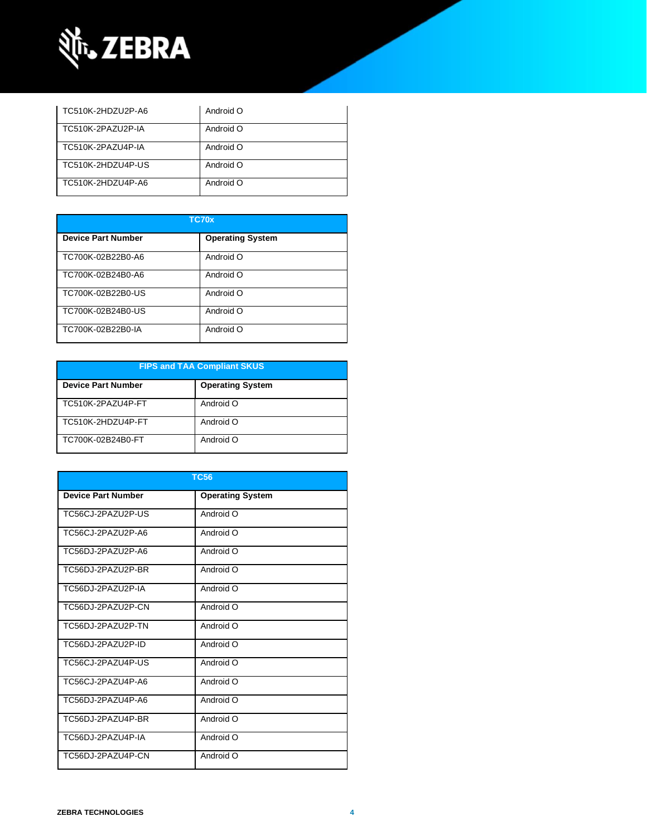

| TC510K-2HDZU2P-A6 | Android O |
|-------------------|-----------|
| TC510K-2PAZU2P-IA | Android O |
| TC510K-2PAZU4P-IA | Android O |
| TC510K-2HDZU4P-US | Android O |
| TC510K-2HDZU4P-A6 | Android O |

| TC70x                     |                         |
|---------------------------|-------------------------|
| <b>Device Part Number</b> | <b>Operating System</b> |
| TC700K-02B22B0-A6         | Android O               |
| TC700K-02B24B0-A6         | Android O               |
| TC700K-02B22B0-US         | Android O               |
| TC700K-02B24B0-US         | Android O               |
| TC700K-02B22B0-IA         | Android O               |

| <b>FIPS and TAA Compliant SKUS</b> |                         |  |
|------------------------------------|-------------------------|--|
| <b>Device Part Number</b>          | <b>Operating System</b> |  |
| TC510K-2PAZU4P-FT                  | Android O               |  |
| TC510K-2HDZU4P-FT                  | Android O               |  |
| TC700K-02B24B0-FT                  | Android O               |  |

| <b>TC56</b>               |                         |  |
|---------------------------|-------------------------|--|
| <b>Device Part Number</b> | <b>Operating System</b> |  |
| TC56CJ-2PAZU2P-US         | Android O               |  |
| TC56CJ-2PAZU2P-A6         | Android O               |  |
| TC56DJ-2PAZU2P-A6         | Android O               |  |
| TC56DJ-2PAZU2P-BR         | Android O               |  |
| TC56DJ-2PAZU2P-IA         | Android O               |  |
| TC56DJ-2PAZU2P-CN         | Android O               |  |
| TC56DJ-2PAZU2P-TN         | Android O               |  |
| TC56DJ-2PAZU2P-ID         | O bionbnA               |  |
| TC56CJ-2PAZU4P-US         | Android O               |  |
| TC56CJ-2PAZU4P-A6         | Android O               |  |
| TC56DJ-2PAZU4P-A6         | Android O               |  |
| TC56DJ-2PAZU4P-BR         | Android O               |  |
| TC56DJ-2PAZU4P-IA         | Android O               |  |
| TC56DJ-2PAZU4P-CN         | Android O               |  |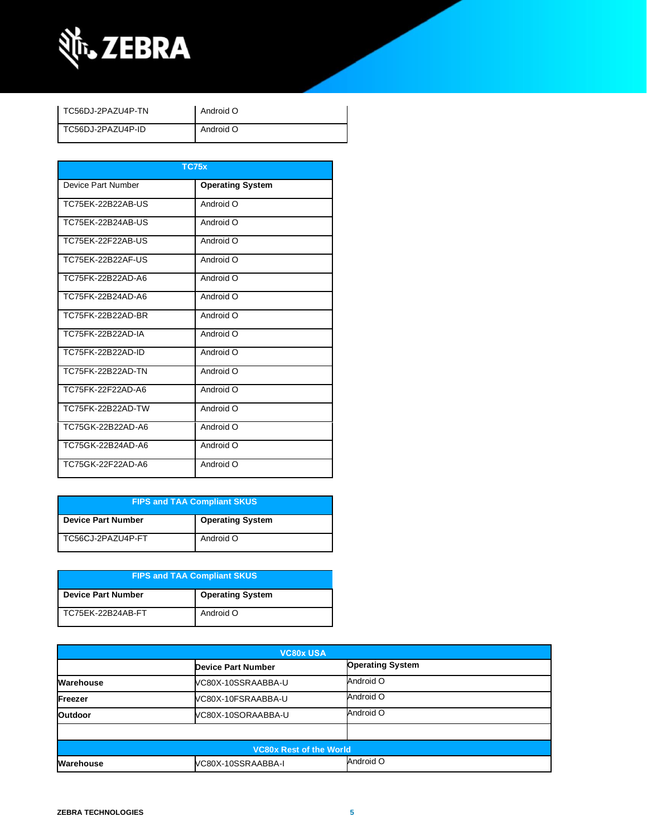

| TC56DJ-2PAZU4P-TN | Android O |
|-------------------|-----------|
| TC56DJ-2PAZU4P-ID | Android O |

| <b>TC75x</b>       |                         |  |
|--------------------|-------------------------|--|
| Device Part Number | <b>Operating System</b> |  |
| TC75EK-22B22AB-US  | Android O               |  |
| TC75EK-22B24AB-US  | Android O               |  |
| TC75FK-22F22AB-US  | Android O               |  |
| TC75EK-22B22AF-US  | Android O               |  |
| TC75FK-22B22AD-A6  | Android O               |  |
| TC75FK-22B24AD-A6  | Android O               |  |
| TC75FK-22B22AD-BR  | Android O               |  |
| TC75FK-22B22AD-IA  | Android O               |  |
| TC75FK-22B22AD-ID  | Android O               |  |
| TC75FK-22B22AD-TN  | Android O               |  |
| TC75FK-22F22AD-A6  | Android O               |  |
| TC75FK-22B22AD-TW  | Android O               |  |
| TC75GK-22B22AD-A6  | Android O               |  |
| TC75GK-22B24AD-A6  | Android O               |  |
| TC75GK-22F22AD-A6  | Android O               |  |

| <b>FIPS and TAA Compliant SKUS</b> |                         |
|------------------------------------|-------------------------|
| <b>Device Part Number</b>          | <b>Operating System</b> |
| TC56CJ-2PAZU4P-FT                  | Android O               |

| <b>FIPS and TAA Compliant SKUS</b> |                         |
|------------------------------------|-------------------------|
| <b>Device Part Number</b>          | <b>Operating System</b> |
| TC75EK-22B24AB-FT                  | Android O               |

| <b>VC80x USA</b>               |                           |                         |
|--------------------------------|---------------------------|-------------------------|
|                                | <b>Device Part Number</b> | <b>Operating System</b> |
| Warehouse                      | VC80X-10SSRAABBA-U        | Android O               |
| Freezer                        | VC80X-10FSRAABBA-U        | Android O               |
| <b>Outdoor</b>                 | VC80X-10SORAABBA-U        | Android O               |
|                                |                           |                         |
| <b>VC80x Rest of the World</b> |                           |                         |
| Warehouse                      | VC80X-10SSRAABBA-I        | Android O               |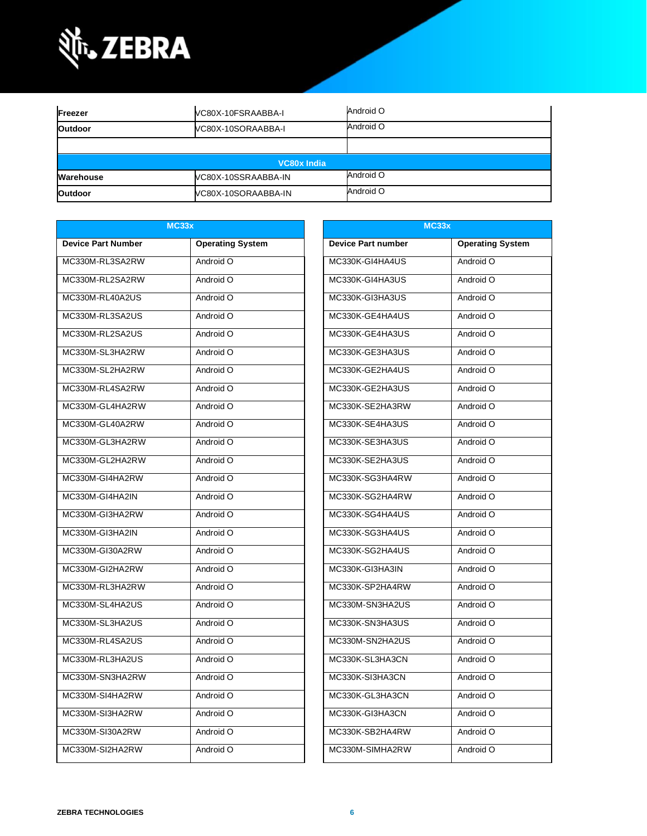

| Freezer        | VC80X-10FSRAABBA-I  | Android O |
|----------------|---------------------|-----------|
| <b>Outdoor</b> | VC80X-10SORAABBA-I  | Android O |
|                |                     |           |
|                | VC80x India         |           |
| Warehouse      | VC80X-10SSRAABBA-IN | Android O |
| <b>Outdoor</b> | VC80X-10SORAABBA-IN | Android O |

| MC33x                     |                         | <b>MC33x</b>              |                         |
|---------------------------|-------------------------|---------------------------|-------------------------|
| <b>Device Part Number</b> | <b>Operating System</b> | <b>Device Part number</b> | <b>Operating System</b> |
| MC330M-RL3SA2RW           | Android O               | MC330K-GI4HA4US           | Android O               |
| MC330M-RL2SA2RW           | Android O               | MC330K-GI4HA3US           | Android O               |
| MC330M-RL40A2US           | Android O               | MC330K-GI3HA3US           | Android O               |
| MC330M-RL3SA2US           | Android O               | MC330K-GE4HA4US           | Android O               |
| MC330M-RL2SA2US           | Android O               | MC330K-GE4HA3US           | Android O               |
| MC330M-SL3HA2RW           | Android O               | MC330K-GE3HA3US           | Android O               |
| MC330M-SL2HA2RW           | Android O               | MC330K-GE2HA4US           | Android O               |
| MC330M-RL4SA2RW           | Android O               | MC330K-GE2HA3US           | Android O               |
| MC330M-GL4HA2RW           | Android O               | MC330K-SE2HA3RW           | Android O               |
| MC330M-GL40A2RW           | Android O               | MC330K-SE4HA3US           | Android O               |
| MC330M-GL3HA2RW           | Android O               | MC330K-SE3HA3US           | Android O               |
| MC330M-GL2HA2RW           | Android O               | MC330K-SE2HA3US           | Android O               |
| MC330M-GI4HA2RW           | Android O               | MC330K-SG3HA4RW           | Android O               |
| MC330M-GI4HA2IN           | Android O               | MC330K-SG2HA4RW           | Android O               |
| MC330M-GI3HA2RW           | Android O               | MC330K-SG4HA4US           | Android O               |
| MC330M-GI3HA2IN           | Android O               | MC330K-SG3HA4US           | Android O               |
| MC330M-GI30A2RW           | Android O               | MC330K-SG2HA4US           | Android O               |
| MC330M-GI2HA2RW           | Android O               | MC330K-GI3HA3IN           | Android O               |
| MC330M-RL3HA2RW           | Android O               | MC330K-SP2HA4RW           | Android O               |
| MC330M-SL4HA2US           | Android O               | MC330M-SN3HA2US           | Android O               |
| MC330M-SL3HA2US           | Android O               | MC330K-SN3HA3US           | Android O               |
| MC330M-RL4SA2US           | Android O               | MC330M-SN2HA2US           | Android O               |
| MC330M-RL3HA2US           | Android O               | MC330K-SL3HA3CN           | Android O               |
| MC330M-SN3HA2RW           | Android O               | MC330K-SI3HA3CN           | Android O               |
| MC330M-SI4HA2RW           | Android O               | MC330K-GL3HA3CN           | Android O               |
| MC330M-SI3HA2RW           | Android O               | MC330K-GI3HA3CN           | Android O               |
| MC330M-SI30A2RW           | Android O               | MC330K-SB2HA4RW           | Android O               |
| MC330M-SI2HA2RW           | Android O               | MC330M-SIMHA2RW           | Android O               |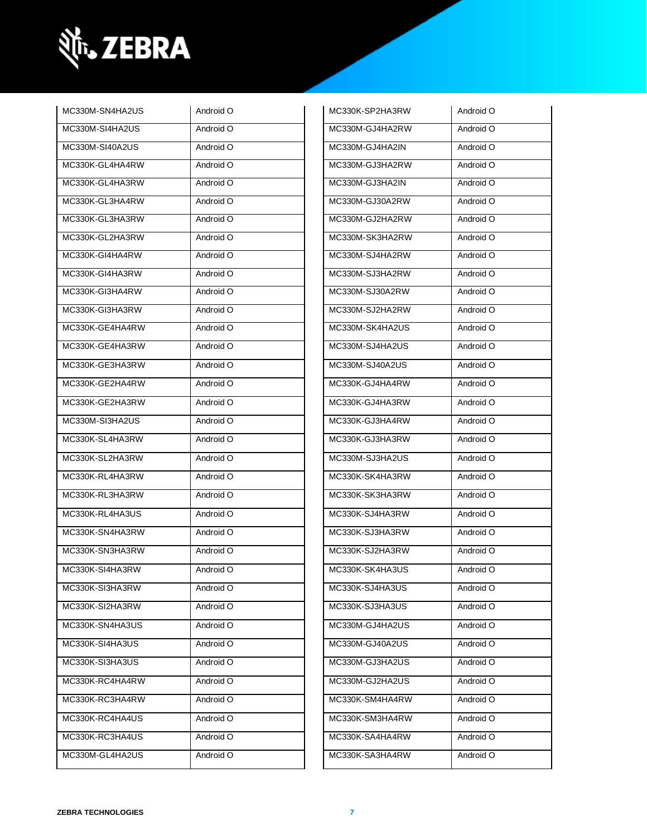

| MC330M-SN4HA2US | Android O | MC330K-SP2HA3RW | Android O |
|-----------------|-----------|-----------------|-----------|
| MC330M-SI4HA2US | Android O | MC330M-GJ4HA2RW | Android O |
| MC330M-SI40A2US | Android O | MC330M-GJ4HA2IN | Android O |
| MC330K-GL4HA4RW | Android O | MC330M-GJ3HA2RW | Android O |
| MC330K-GL4HA3RW | Android O | MC330M-GJ3HA2IN | Android O |
| MC330K-GL3HA4RW | Android O | MC330M-GJ30A2RW | Android O |
| MC330K-GL3HA3RW | Android O | MC330M-GJ2HA2RW | Android O |
| MC330K-GL2HA3RW | Android O | MC330M-SK3HA2RW | Android O |
| MC330K-GI4HA4RW | Android O | MC330M-SJ4HA2RW | Android O |
| MC330K-GI4HA3RW | Android O | MC330M-SJ3HA2RW | Android O |
| MC330K-GI3HA4RW | Android O | MC330M-SJ30A2RW | Android O |
| MC330K-GI3HA3RW | Android O | MC330M-SJ2HA2RW | Android O |
| MC330K-GE4HA4RW | Android O | MC330M-SK4HA2US | Android O |
| MC330K-GE4HA3RW | Android O | MC330M-SJ4HA2US | Android O |
| MC330K-GE3HA3RW | Android O | MC330M-SJ40A2US | Android O |
| MC330K-GE2HA4RW | Android O | MC330K-GJ4HA4RW | Android O |
| MC330K-GE2HA3RW | Android O | MC330K-GJ4HA3RW | Android O |
| MC330M-SI3HA2US | Android O | MC330K-GJ3HA4RW | Android O |
|                 |           |                 |           |
| MC330K-SL4HA3RW | Android O | MC330K-GJ3HA3RW | Android O |
| MC330K-SL2HA3RW | Android O | MC330M-SJ3HA2US | Android O |
| MC330K-RL4HA3RW | Android O | MC330K-SK4HA3RW | Android O |
| MC330K-RL3HA3RW | Android O | MC330K-SK3HA3RW | Android O |
| MC330K-RL4HA3US | Android O | MC330K-SJ4HA3RW | Android O |
| MC330K-SN4HA3RW | Android O | MC330K-SJ3HA3RW | Android O |
| MC330K-SN3HA3RW | Android O | MC330K-SJ2HA3RW | Android O |
| MC330K-SI4HA3RW | Android O | MC330K-SK4HA3US | Android O |
| MC330K-SI3HA3RW | Android O | MC330K-SJ4HA3US | Android O |
| MC330K-SI2HA3RW | Android O | MC330K-SJ3HA3US | Android O |
| MC330K-SN4HA3US | Android O | MC330M-GJ4HA2US | Android O |
| MC330K-SI4HA3US | Android O | MC330M-GJ40A2US | Android O |
| MC330K-SI3HA3US | Android O | MC330M-GJ3HA2US | Android O |
| MC330K-RC4HA4RW | Android O | MC330M-GJ2HA2US | Android O |
| MC330K-RC3HA4RW | Android O | MC330K-SM4HA4RW | Android O |
| MC330K-RC4HA4US | Android O | MC330K-SM3HA4RW | Android O |
| MC330K-RC3HA4US | Android O | MC330K-SA4HA4RW | Android O |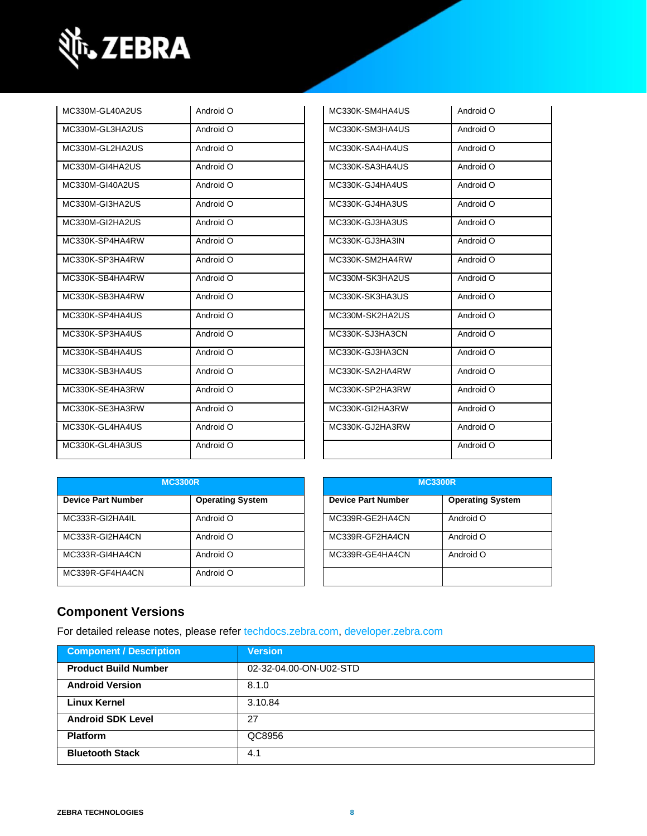

| MC330M-GL40A2US | Android O | MC330K-SM4HA4US | Android O |
|-----------------|-----------|-----------------|-----------|
| MC330M-GL3HA2US | Android O | MC330K-SM3HA4US | Android O |
| MC330M-GL2HA2US | Android O | MC330K-SA4HA4US | Android O |
| MC330M-GI4HA2US | Android O | MC330K-SA3HA4US | Android O |
| MC330M-GI40A2US | Android O | MC330K-GJ4HA4US | Android O |
| MC330M-GI3HA2US | Android O | MC330K-GJ4HA3US | Android O |
| MC330M-GI2HA2US | Android O | MC330K-GJ3HA3US | Android O |
| MC330K-SP4HA4RW | Android O | MC330K-GJ3HA3IN | Android O |
| MC330K-SP3HA4RW | Android O | MC330K-SM2HA4RW | Android O |
| MC330K-SB4HA4RW | Android O | MC330M-SK3HA2US | Android O |
| MC330K-SB3HA4RW | Android O | MC330K-SK3HA3US | Android O |
| MC330K-SP4HA4US | Android O | MC330M-SK2HA2US | Android O |
| MC330K-SP3HA4US | Android O | MC330K-SJ3HA3CN | Android O |
| MC330K-SB4HA4US | Android O | MC330K-GJ3HA3CN | Android O |
| MC330K-SB3HA4US | Android O | MC330K-SA2HA4RW | Android O |
| MC330K-SE4HA3RW | Android O | MC330K-SP2HA3RW | Android O |
| MC330K-SE3HA3RW | Android O | MC330K-GI2HA3RW | Android O |
| MC330K-GL4HA4US | Android O | MC330K-GJ2HA3RW | Android O |
| MC330K-GL4HA3US | Android O |                 | Android O |

| MC330K-SM4HA4US | Android O |
|-----------------|-----------|
| MC330K-SM3HA4US | Android O |
| MC330K-SA4HA4US | Android O |
| MC330K-SA3HA4US | Android O |
| MC330K-GJ4HA4US | Android O |
| MC330K-GJ4HA3US | Android O |
| MC330K-GJ3HA3US | Android O |
| MC330K-GJ3HA3IN | Android O |
| MC330K-SM2HA4RW | Android O |
| MC330M-SK3HA2US | Android O |
| MC330K-SK3HA3US | Android O |
| MC330M-SK2HA2US | Android O |
| MC330K-SJ3HA3CN | Android O |
| MC330K-GJ3HA3CN | Android O |
| MC330K-SA2HA4RW | Android O |
| MC330K-SP2HA3RW | Android O |
| MC330K-GI2HA3RW | Android O |
| MC330K-GJ2HA3RW | Android O |
|                 | Android O |

| <b>MC3300R</b>            |                         |                           | <b>MC3300R</b>          |
|---------------------------|-------------------------|---------------------------|-------------------------|
| <b>Device Part Number</b> | <b>Operating System</b> | <b>Device Part Number</b> | <b>Operating System</b> |
| MC333R-GI2HA4IL           | Android O               | MC339R-GE2HA4CN           | Android O               |
| MC333R-GI2HA4CN           | Android O               | MC339R-GF2HA4CN           | Android O               |
| MC333R-GI4HA4CN           | Android O               | MC339R-GE4HA4CN           | Android O               |
| MC339R-GF4HA4CN           | Android O               |                           |                         |

| <b>MC3300R</b>            |                         |  |
|---------------------------|-------------------------|--|
| <b>Device Part Number</b> | <b>Operating System</b> |  |
| MC339R-GE2HA4CN           | Android O               |  |
| MC339R-GF2HA4CN           | Android O               |  |
| MC339R-GE4HA4CN           | Android O               |  |
|                           |                         |  |

### **Component Versions**

For detailed release notes, please refer [techdocs.zebra.com,](https://techdocs.zebra.com/) [developer.zebra.com](https://developer.zebra.com/)

| <b>Component / Description</b> | <b>Version</b>         |
|--------------------------------|------------------------|
| <b>Product Build Number</b>    | 02-32-04.00-ON-U02-STD |
| <b>Android Version</b>         | 8.1.0                  |
| <b>Linux Kernel</b>            | 3.10.84                |
| <b>Android SDK Level</b>       | 27                     |
| <b>Platform</b>                | QC8956                 |
| <b>Bluetooth Stack</b>         | 4.1                    |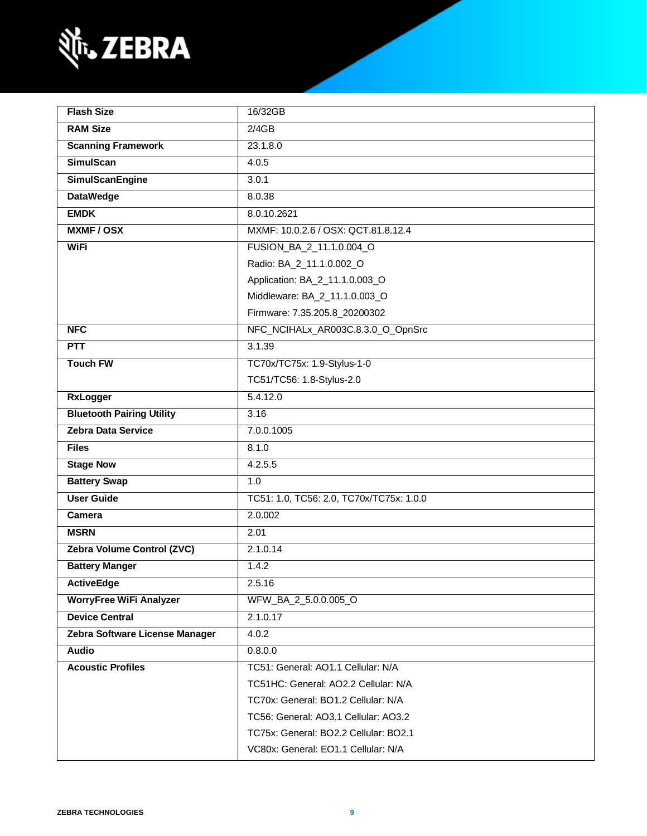

| <b>Flash Size</b>                | 16/32GB                                  |  |
|----------------------------------|------------------------------------------|--|
| <b>RAM Size</b>                  | 2/4GB                                    |  |
| <b>Scanning Framework</b>        | 23.1.8.0                                 |  |
| <b>SimulScan</b>                 | 4.0.5                                    |  |
| <b>SimulScanEngine</b>           | 3.0.1                                    |  |
| <b>DataWedge</b>                 | 8.0.38                                   |  |
| <b>EMDK</b>                      | 8.0.10.2621                              |  |
| <b>MXMF/OSX</b>                  | MXMF: 10.0.2.6 / OSX: QCT.81.8.12.4      |  |
| <b>WiFi</b>                      | FUSION BA 2 11.1.0.004 O                 |  |
|                                  | Radio: BA_2_11.1.0.002_O                 |  |
|                                  | Application: BA_2_11.1.0.003_O           |  |
|                                  | Middleware: BA_2_11.1.0.003_O            |  |
|                                  | Firmware: 7.35.205.8_20200302            |  |
| <b>NFC</b>                       | NFC_NCIHALx_AR003C.8.3.0_O_OpnSrc        |  |
| <b>PTT</b>                       | 3.1.39                                   |  |
| <b>Touch FW</b>                  | TC70x/TC75x: 1.9-Stylus-1-0              |  |
|                                  | TC51/TC56: 1.8-Stylus-2.0                |  |
| <b>RxLogger</b>                  | 5.4.12.0                                 |  |
| <b>Bluetooth Pairing Utility</b> | 3.16                                     |  |
| <b>Zebra Data Service</b>        | 7.0.0.1005                               |  |
| <b>Files</b>                     | 8.1.0                                    |  |
| <b>Stage Now</b>                 | 4.2.5.5                                  |  |
| <b>Battery Swap</b>              | 1.0                                      |  |
| <b>User Guide</b>                | TC51: 1.0, TC56: 2.0, TC70x/TC75x: 1.0.0 |  |
| Camera                           | 2.0.002                                  |  |
| <b>MSRN</b>                      | 2.01                                     |  |
| Zebra Volume Control (ZVC)       | 2.1.0.14                                 |  |
| <b>Battery Manger</b>            | 1.4.2                                    |  |
| <b>ActiveEdge</b>                | 2.5.16                                   |  |
| <b>WorryFree WiFi Analyzer</b>   | WFW_BA_2_5.0.0.005_O                     |  |
| <b>Device Central</b>            | 2.1.0.17                                 |  |
| Zebra Software License Manager   | 4.0.2                                    |  |
| <b>Audio</b>                     | 0.8.0.0                                  |  |
| <b>Acoustic Profiles</b>         | TC51: General: AO1.1 Cellular: N/A       |  |
|                                  | TC51HC: General: AO2.2 Cellular: N/A     |  |
|                                  | TC70x: General: BO1.2 Cellular: N/A      |  |
|                                  | TC56: General: AO3.1 Cellular: AO3.2     |  |
|                                  | TC75x: General: BO2.2 Cellular: BO2.1    |  |
|                                  | VC80x: General: EO1.1 Cellular: N/A      |  |